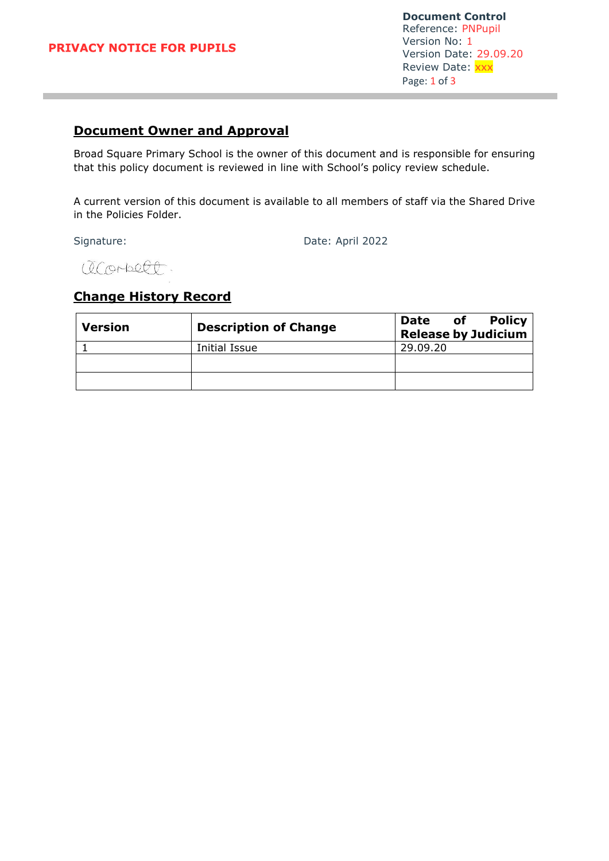#### **PRIVACY NOTICE FOR PUPILS**

**Document Control** Reference: PNPupil Version No: 1 Version Date: 29.09.20 Review Date: XXX Page: 1 of 3

# **Document Owner and Approval**

Broad Square Primary School is the owner of this document and is responsible for ensuring that this policy document is reviewed in line with School's policy review schedule.

A current version of this document is available to all members of staff via the Shared Drive in the Policies Folder.

Signature: Date: April 2022

acorbett.

### **Change History Record**

| <b>Version</b> | <b>Description of Change</b> | <b>Policy</b><br>of<br>Date<br><b>Release by Judicium</b> |
|----------------|------------------------------|-----------------------------------------------------------|
|                | Initial Issue                | 29.09.20                                                  |
|                |                              |                                                           |
|                |                              |                                                           |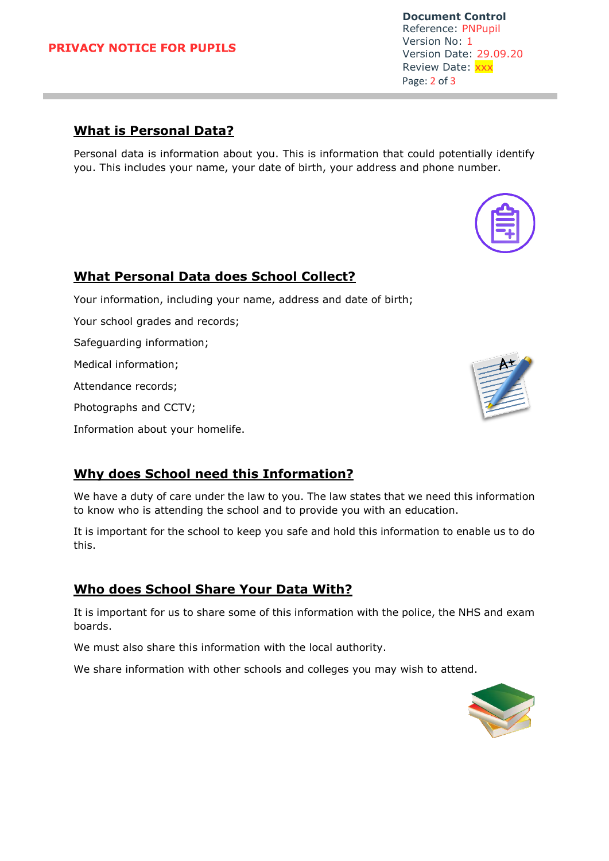#### **PRIVACY NOTICE FOR PUPILS**

**Document Control** Reference: PNPupil Version No: 1 Version Date: 29.09.20 Review Date: XXX Page: 2 of 3

### **What is Personal Data?**

Personal data is information about you. This is information that could potentially identify you. This includes your name, your date of birth, your address and phone number.

#### **What Personal Data does School Collect?**

Your information, including your name, address and date of birth;

Your school grades and records;

Safeguarding information;

Medical information;

Attendance records;

Photographs and CCTV;

Information about your homelife.

# **Why does School need this Information?**

We have a duty of care under the law to you. The law states that we need this information to know who is attending the school and to provide you with an education.

It is important for the school to keep you safe and hold this information to enable us to do this.

# **Who does School Share Your Data With?**

It is important for us to share some of this information with the police, the NHS and exam boards.

We must also share this information with the local authority.

We share information with other schools and colleges you may wish to attend.